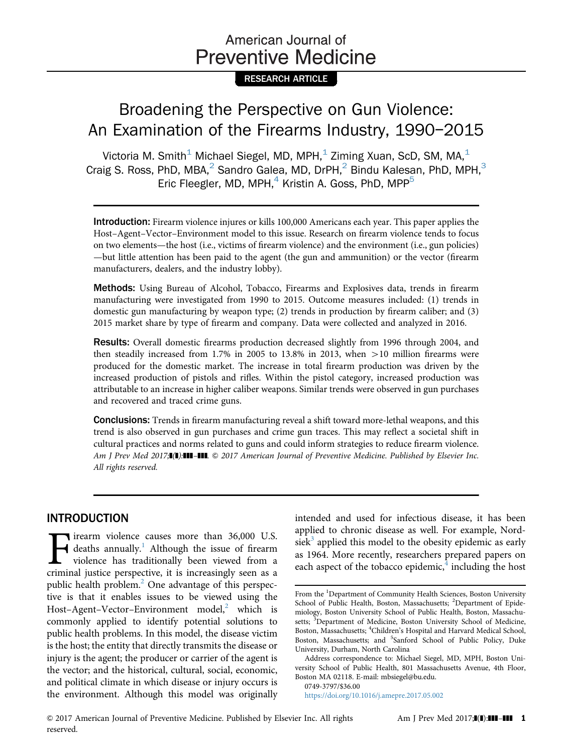# American Journal of **Preventive Medicine**

### RESEARCH ARTICLE

# Broadening the Perspective on Gun Violence: An Examination of the Firearms Industry, 1990–2015

Victoria M. Smith<sup>1</sup> Michael Siegel, MD, MPH,<sup>1</sup> Ziming Xuan, ScD, SM, MA,<sup>1</sup> Craig S. Ross, PhD, MBA,<sup>2</sup> Sandro Galea, MD, DrPH,<sup>2</sup> Bindu Kalesan, PhD, MPH,<sup>3</sup> Eric Fleegler, MD, MPH, $<sup>4</sup>$  Kristin A. Goss, PhD, MPP $<sup>5</sup>$ </sup></sup>

Introduction: Firearm violence injures or kills 100,000 Americans each year. This paper applies the Host–Agent–Vector–Environment model to this issue. Research on firearm violence tends to focus on two elements—the host (i.e., victims of firearm violence) and the environment (i.e., gun policies) —but little attention has been paid to the agent (the gun and ammunition) or the vector (firearm manufacturers, dealers, and the industry lobby).

Methods: Using Bureau of Alcohol, Tobacco, Firearms and Explosives data, trends in firearm manufacturing were investigated from 1990 to 2015. Outcome measures included: (1) trends in domestic gun manufacturing by weapon type; (2) trends in production by firearm caliber; and (3) 2015 market share by type of firearm and company. Data were collected and analyzed in 2016.

Results: Overall domestic firearms production decreased slightly from 1996 through 2004, and then steadily increased from 1.7% in 2005 to 13.8% in 2013, when  $>$ 10 million firearms were produced for the domestic market. The increase in total firearm production was driven by the increased production of pistols and rifles. Within the pistol category, increased production was attributable to an increase in higher caliber weapons. Similar trends were observed in gun purchases and recovered and traced crime guns.

Conclusions: Trends in firearm manufacturing reveal a shift toward more-lethal weapons, and this trend is also observed in gun purchases and crime gun traces. This may reflect a societal shift in cultural practices and norms related to guns and could inform strategies to reduce firearm violence. Am J Prev Med 2017;<sup>1</sup>(1):111-111. © 2017 American Journal of Preventive Medicine. Published by Elsevier Inc. All rights reserved.

## INTRODUCTION

**Figure 1.5 Follow EV and SET UP:** deaths annually.<sup>1</sup> Although the issue of firearm violence has traditionally been viewed from a criminal iustice perspective, it is increasingly seen as a deaths annually.<sup>1</sup> Although the issue of firearm violence has traditionally been viewed from a criminal justice perspective, it is increasingly seen as a public health problem.<sup>2</sup> One advantage of this perspective is that it enables issues to be viewed using the Host–Agent–Vector–Environment model,<sup>[2](#page-6-0)</sup> which is commonly applied to identify potential solutions to public health problems. In this model, the disease victim is the host; the entity that directly transmits the disease or injury is the agent; the producer or carrier of the agent is the vector; and the historical, cultural, social, economic, and political climate in which disease or injury occurs is the environment. Although this model was originally intended and used for infectious disease, it has been applied to chronic disease as well. For example, Nordsiek<sup>3</sup> applied this model to the obesity epidemic as early as 1964. More recently, researchers prepared papers on each aspect of the tobacco epidemic, $4$  including the host

0749-3797/\$36.00

<https://doi.org/10.1016/j.amepre.2017.05.002>

From the <sup>1</sup>Department of Community Health Sciences, Boston University School of Public Health, Boston, Massachusetts; <sup>2</sup>Department of Epidemiology, Boston University School of Public Health, Boston, Massachusetts; <sup>3</sup>Department of Medicine, Boston University School of Medicine, Boston, Massachusetts; <sup>4</sup>Children's Hospital and Harvard Medical School, Boston, Massachusetts; and <sup>5</sup>Sanford School of Public Policy, Duke University, Durham, North Carolina

Address correspondence to: Michael Siegel, MD, MPH, Boston University School of Public Health, 801 Massachusetts Avenue, 4th Floor, Boston MA 02118. E-mail: [mbsiegel@bu.edu.](mailto:mbsiegel@bu.edu)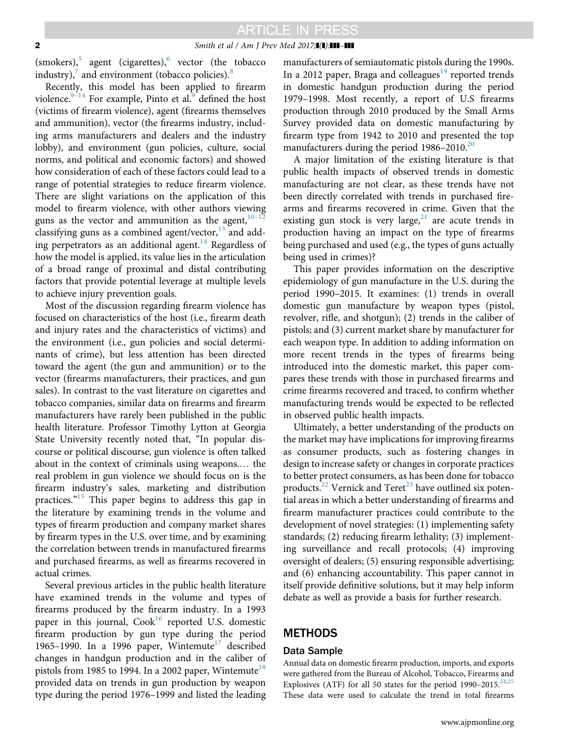#### 2 Smith et al / Am J Prev Med 2017; $\mathbf{I}(\mathbf{l})$ : $\mathbf{III}$ – $\mathbf{III}$

(smokers),<sup>5</sup> agent (cigarettes),<sup>[6](#page-6-0)</sup> vector (the tobacco industry), $\frac{7}{7}$  $\frac{7}{7}$  $\frac{7}{7}$  and environment (tobacco policies).<sup>[8](#page-6-0)</sup>

Recently, this model has been applied to firearm violence. $9-14$  $9-14$  For example, Pinto et al. defined the host (victims of firearm violence), agent (firearms themselves and ammunition), vector (the firearms industry, including arms manufacturers and dealers and the industry lobby), and environment (gun policies, culture, social norms, and political and economic factors) and showed how consideration of each of these factors could lead to a range of potential strategies to reduce firearm violence. There are slight variations on the application of this model to firearm violence, with other authors viewing guns as the vector and ammunition as the agent, $10^{-1}$  $10^{-1}$ classifying guns as a combined agent/vector, $^{13}$  $^{13}$  $^{13}$  and adding perpetrators as an additional agent.<sup>14</sup> Regardless of how the model is applied, its value lies in the articulation of a broad range of proximal and distal contributing factors that provide potential leverage at multiple levels to achieve injury prevention goals.

Most of the discussion regarding firearm violence has focused on characteristics of the host (i.e., firearm death and injury rates and the characteristics of victims) and the environment (i.e., gun policies and social determinants of crime), but less attention has been directed toward the agent (the gun and ammunition) or to the vector (firearms manufacturers, their practices, and gun sales). In contrast to the vast literature on cigarettes and tobacco companies, similar data on firearms and firearm manufacturers have rarely been published in the public health literature. Professor Timothy Lytton at Georgia State University recently noted that, "In popular discourse or political discourse, gun violence is often talked about in the context of criminals using weapons.… the real problem in gun violence we should focus on is the firearm industry's sales, marketing and distribution practices." [15](#page-6-0) This paper begins to address this gap in the literature by examining trends in the volume and types of firearm production and company market shares by firearm types in the U.S. over time, and by examining the correlation between trends in manufactured firearms and purchased firearms, as well as firearms recovered in actual crimes.

Several previous articles in the public health literature have examined trends in the volume and types of firearms produced by the firearm industry. In a 1993 paper in this journal,  $Cook<sup>16</sup>$  reported U.S. domestic firearm production by gun type during the period 1965–1990. In a 1996 paper, Wintemute<sup>17</sup> described changes in handgun production and in the caliber of pistols from 1985 to 1994. In a 2002 paper, Wintemute<sup>18</sup> provided data on trends in gun production by weapon type during the period 1976–1999 and listed the leading

manufacturers of semiautomatic pistols during the 1990s. In a 2012 paper, Braga and colleagues<sup>19</sup> reported trends in domestic handgun production during the period 1979–1998. Most recently, a report of U.S firearms production through 2010 produced by the Small Arms Survey provided data on domestic manufacturing by firearm type from 1942 to 2010 and presented the top manufacturers during the period  $1986-2010$ <sup>20</sup>

A major limitation of the existing literature is that public health impacts of observed trends in domestic manufacturing are not clear, as these trends have not been directly correlated with trends in purchased firearms and firearms recovered in crime. Given that the existing gun stock is very large, $21$  are acute trends in production having an impact on the type of firearms being purchased and used (e.g., the types of guns actually being used in crimes)?

This paper provides information on the descriptive epidemiology of gun manufacture in the U.S. during the period 1990–2015. It examines: (1) trends in overall domestic gun manufacture by weapon types (pistol, revolver, rifle, and shotgun); (2) trends in the caliber of pistols; and (3) current market share by manufacturer for each weapon type. In addition to adding information on more recent trends in the types of firearms being introduced into the domestic market, this paper compares these trends with those in purchased firearms and crime firearms recovered and traced, to confirm whether manufacturing trends would be expected to be reflected in observed public health impacts.

Ultimately, a better understanding of the products on the market may have implications for improving firearms as consumer products, such as fostering changes in design to increase safety or changes in corporate practices to better protect consumers, as has been done for tobacco products.<sup>22</sup> Vernick and Teret<sup>[23](#page-6-0)</sup> have outlined six potential areas in which a better understanding of firearms and firearm manufacturer practices could contribute to the development of novel strategies: (1) implementing safety standards; (2) reducing firearm lethality; (3) implementing surveillance and recall protocols; (4) improving oversight of dealers; (5) ensuring responsible advertising; and (6) enhancing accountability. This paper cannot in itself provide definitive solutions, but it may help inform debate as well as provide a basis for further research.

### **METHODS**

### Data Sample

Annual data on domestic firearm production, imports, and exports were gathered from the Bureau of Alcohol, Tobacco, Firearms and Explosives (ATF) for all 50 states for the period  $1990-2015$ <sup>[24](#page-6-0),[25](#page-6-0)</sup> These data were used to calculate the trend in total firearms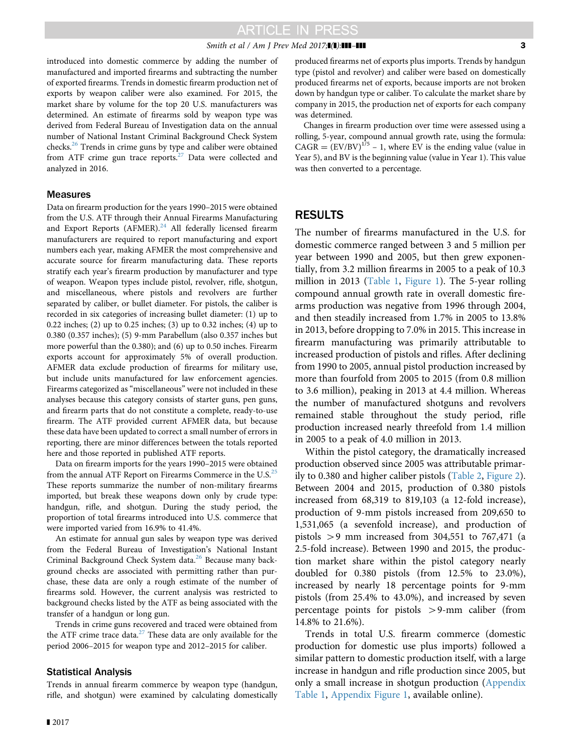#### Smith et al / Am J Prev Med 2017; $\blacksquare$ ] 3

introduced into domestic commerce by adding the number of manufactured and imported firearms and subtracting the number of exported firearms. Trends in domestic firearm production net of exports by weapon caliber were also examined. For 2015, the market share by volume for the top 20 U.S. manufacturers was determined. An estimate of firearms sold by weapon type was derived from Federal Bureau of Investigation data on the annual number of National Instant Criminal Background Check System checks.<sup>[26](#page-6-0)</sup> Trends in crime guns by type and caliber were obtained from ATF crime gun trace reports.<sup>[27](#page-7-0)</sup> Data were collected and analyzed in 2016.

### **Measures**

Data on firearm production for the years 1990–2015 were obtained from the U.S. ATF through their Annual Firearms Manufacturing and Export Reports  $(AFMER).<sup>24</sup>$  $(AFMER).<sup>24</sup>$  $(AFMER).<sup>24</sup>$  All federally licensed firearm manufacturers are required to report manufacturing and export numbers each year, making AFMER the most comprehensive and accurate source for firearm manufacturing data. These reports stratify each year's firearm production by manufacturer and type of weapon. Weapon types include pistol, revolver, rifle, shotgun, and miscellaneous, where pistols and revolvers are further separated by caliber, or bullet diameter. For pistols, the caliber is recorded in six categories of increasing bullet diameter: (1) up to 0.22 inches; (2) up to 0.25 inches; (3) up to 0.32 inches; (4) up to 0.380 (0.357 inches); (5) 9-mm Parabellum (also 0.357 inches but more powerful than the 0.380); and (6) up to 0.50 inches. Firearm exports account for approximately 5% of overall production. AFMER data exclude production of firearms for military use, but include units manufactured for law enforcement agencies. Firearms categorized as "miscellaneous" were not included in these analyses because this category consists of starter guns, pen guns, and firearm parts that do not constitute a complete, ready-to-use firearm. The ATF provided current AFMER data, but because these data have been updated to correct a small number of errors in reporting, there are minor differences between the totals reported here and those reported in published ATF reports.

Data on firearm imports for the years 1990–2015 were obtained from the annual ATF Report on Firearms Commerce in the U.S.<sup>[25](#page-6-0)</sup> These reports summarize the number of non-military firearms imported, but break these weapons down only by crude type: handgun, rifle, and shotgun. During the study period, the proportion of total firearms introduced into U.S. commerce that were imported varied from 16.9% to 41.4%.

An estimate for annual gun sales by weapon type was derived from the Federal Bureau of Investigation's National Instant Criminal Background Check System data.<sup>[26](#page-6-0)</sup> Because many background checks are associated with permitting rather than purchase, these data are only a rough estimate of the number of firearms sold. However, the current analysis was restricted to background checks listed by the ATF as being associated with the transfer of a handgun or long gun.

Trends in crime guns recovered and traced were obtained from the ATF crime trace data. $27$  These data are only available for the period 2006–2015 for weapon type and 2012–2015 for caliber.

### Statistical Analysis

Trends in annual firearm commerce by weapon type (handgun, rifle, and shotgun) were examined by calculating domestically produced firearms net of exports plus imports. Trends by handgun type (pistol and revolver) and caliber were based on domestically produced firearms net of exports, because imports are not broken down by handgun type or caliber. To calculate the market share by company in 2015, the production net of exports for each company was determined.

Changes in firearm production over time were assessed using a rolling, 5-year, compound annual growth rate, using the formula:  $CAGR = (EV/BV)^{1/5} - 1$ , where EV is the ending value (value in Year 5), and BV is the beginning value (value in Year 1). This value was then converted to a percentage.

## RESULTS

The number of firearms manufactured in the U.S. for domestic commerce ranged between 3 and 5 million per year between 1990 and 2005, but then grew exponentially, from 3.2 million firearms in 2005 to a peak of 10.3 million in 2013 [\(Table 1,](#page-3-0) [Figure 1\)](#page-3-0). The 5-year rolling compound annual growth rate in overall domestic firearms production was negative from 1996 through 2004, and then steadily increased from 1.7% in 2005 to 13.8% in 2013, before dropping to 7.0% in 2015. This increase in firearm manufacturing was primarily attributable to increased production of pistols and rifles. After declining from 1990 to 2005, annual pistol production increased by more than fourfold from 2005 to 2015 (from 0.8 million to 3.6 million), peaking in 2013 at 4.4 million. Whereas the number of manufactured shotguns and revolvers remained stable throughout the study period, rifle production increased nearly threefold from 1.4 million in 2005 to a peak of 4.0 million in 2013.

Within the pistol category, the dramatically increased production observed since 2005 was attributable primarily to 0.380 and higher caliber pistols ([Table 2,](#page-4-0) [Figure 2](#page-4-0)). Between 2004 and 2015, production of 0.380 pistols increased from 68,319 to 819,103 (a 12-fold increase), production of 9-mm pistols increased from 209,650 to 1,531,065 (a sevenfold increase), and production of pistols  $> 9$  mm increased from 304,551 to 767,471 (a 2.5-fold increase). Between 1990 and 2015, the production market share within the pistol category nearly doubled for 0.380 pistols (from 12.5% to 23.0%), increased by nearly 18 percentage points for 9-mm pistols (from 25.4% to 43.0%), and increased by seven percentage points for pistols  $> 9$ -mm caliber (from 14.8% to 21.6%).

Trends in total U.S. firearm commerce (domestic production for domestic use plus imports) followed a similar pattern to domestic production itself, with a large increase in handgun and rifle production since 2005, but only a small increase in shotgun production ([Appendix](#page-6-0) [Table 1](#page-6-0), [Appendix Figure 1](#page-6-0), available online).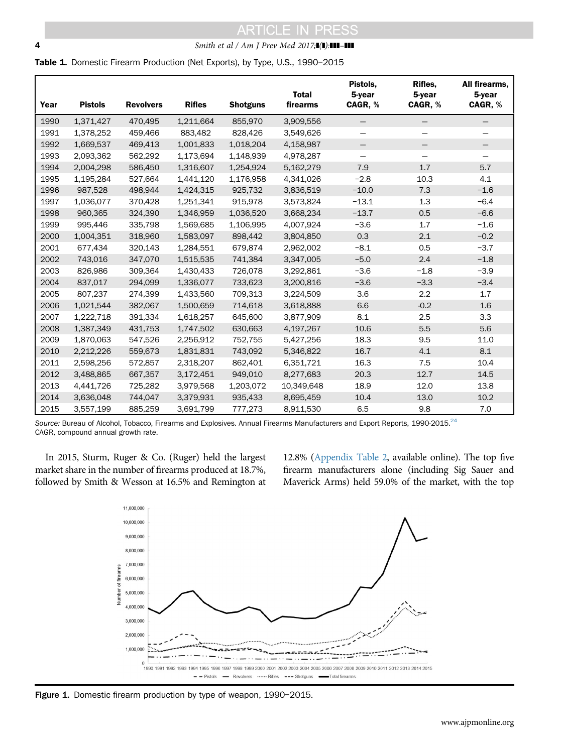### <span id="page-3-0"></span>**4** Smith et al / Am J Prev Med 2017;**1(1):111-111**

Table 1. Domestic Firearm Production (Net Exports), by Type, U.S., 1990-2015

| Year | <b>Pistols</b> | <b>Revolvers</b> | <b>Rifles</b> | <b>Shotguns</b> | <b>Total</b><br>firearms | Pistols.<br>5-year<br>CAGR, % | Rifles.<br>$5$ -year<br>CAGR, % | All firearms,<br>5-year<br>CAGR, % |
|------|----------------|------------------|---------------|-----------------|--------------------------|-------------------------------|---------------------------------|------------------------------------|
| 1990 | 1,371,427      | 470,495          | 1,211,664     | 855,970         | 3,909,556                | —                             | $\overline{\phantom{m}}$        |                                    |
| 1991 | 1,378,252      | 459,466          | 883,482       | 828,426         | 3,549,626                |                               |                                 |                                    |
| 1992 | 1,669,537      | 469,413          | 1,001,833     | 1,018,204       | 4,158,987                | —                             |                                 |                                    |
| 1993 | 2,093,362      | 562,292          | 1,173,694     | 1,148,939       | 4,978,287                |                               |                                 |                                    |
| 1994 | 2,004,298      | 586,450          | 1,316,607     | 1,254,924       | 5,162,279                | 7.9                           | 1.7                             | 5.7                                |
| 1995 | 1,195,284      | 527,664          | 1,441,120     | 1,176,958       | 4,341,026                | $-2.8$                        | 10.3                            | 4.1                                |
| 1996 | 987,528        | 498,944          | 1,424,315     | 925,732         | 3,836,519                | $-10.0$                       | 7.3                             | $-1.6$                             |
| 1997 | 1,036,077      | 370,428          | 1,251,341     | 915,978         | 3,573,824                | $-13.1$                       | 1.3                             | $-6.4$                             |
| 1998 | 960,365        | 324,390          | 1,346,959     | 1,036,520       | 3,668,234                | $-13.7$                       | 0.5                             | $-6.6$                             |
| 1999 | 995,446        | 335,798          | 1,569,685     | 1,106,995       | 4,007,924                | $-3.6$                        | 1.7                             | $-1.6$                             |
| 2000 | 1,004,351      | 318,960          | 1,583,097     | 898,442         | 3,804,850                | 0.3                           | 2.1                             | $-0.2$                             |
| 2001 | 677,434        | 320,143          | 1,284,551     | 679,874         | 2,962,002                | $-8.1$                        | 0.5                             | $-3.7$                             |
| 2002 | 743,016        | 347,070          | 1,515,535     | 741,384         | 3,347,005                | $-5.0$                        | 2.4                             | $-1.8$                             |
| 2003 | 826,986        | 309,364          | 1,430,433     | 726,078         | 3,292,861                | $-3.6$                        | $-1.8$                          | $-3.9$                             |
| 2004 | 837,017        | 294,099          | 1,336,077     | 733,623         | 3,200,816                | $-3.6$                        | $-3.3$                          | $-3.4$                             |
| 2005 | 807,237        | 274,399          | 1,433,560     | 709,313         | 3,224,509                | 3.6                           | 2.2                             | 1.7                                |
| 2006 | 1,021,544      | 382,067          | 1,500,659     | 714,618         | 3,618,888                | 6.6                           | $-0.2$                          | 1.6                                |
| 2007 | 1,222,718      | 391,334          | 1,618,257     | 645,600         | 3,877,909                | 8.1                           | 2.5                             | 3.3                                |
| 2008 | 1,387,349      | 431,753          | 1,747,502     | 630,663         | 4,197,267                | 10.6                          | 5.5                             | 5.6                                |
| 2009 | 1,870,063      | 547,526          | 2,256,912     | 752,755         | 5,427,256                | 18.3                          | 9.5                             | 11.0                               |
| 2010 | 2,212,226      | 559,673          | 1,831,831     | 743,092         | 5,346,822                | 16.7                          | 4.1                             | 8.1                                |
| 2011 | 2,598,256      | 572,857          | 2,318,207     | 862,401         | 6,351,721                | 16.3                          | 7.5                             | 10.4                               |
| 2012 | 3,488,865      | 667,357          | 3,172,451     | 949,010         | 8,277,683                | 20.3                          | 12.7                            | 14.5                               |
| 2013 | 4,441,726      | 725,282          | 3,979,568     | 1,203,072       | 10,349,648               | 18.9                          | 12.0                            | 13.8                               |
| 2014 | 3,636,048      | 744,047          | 3,379,931     | 935,433         | 8,695,459                | 10.4                          | 13.0                            | 10.2                               |
| 2015 | 3,557,199      | 885,259          | 3,691,799     | 777,273         | 8,911,530                | 6.5                           | 9.8                             | 7.0                                |

Source: Bureau of Alcohol, Tobacco, Firearms and Explosives. Annual Firearms Manufacturers and Export Reports, 1990-2015. $^{24}$  $^{24}$  $^{24}$ CAGR, compound annual growth rate.

In 2015, Sturm, Ruger & Co. (Ruger) held the largest market share in the number of firearms produced at 18.7%, followed by Smith & Wesson at 16.5% and Remington at 12.8% ([Appendix Table 2,](#page-6-0) available online). The top five firearm manufacturers alone (including Sig Sauer and Maverick Arms) held 59.0% of the market, with the top



Figure 1. Domestic firearm production by type of weapon, 1990-2015.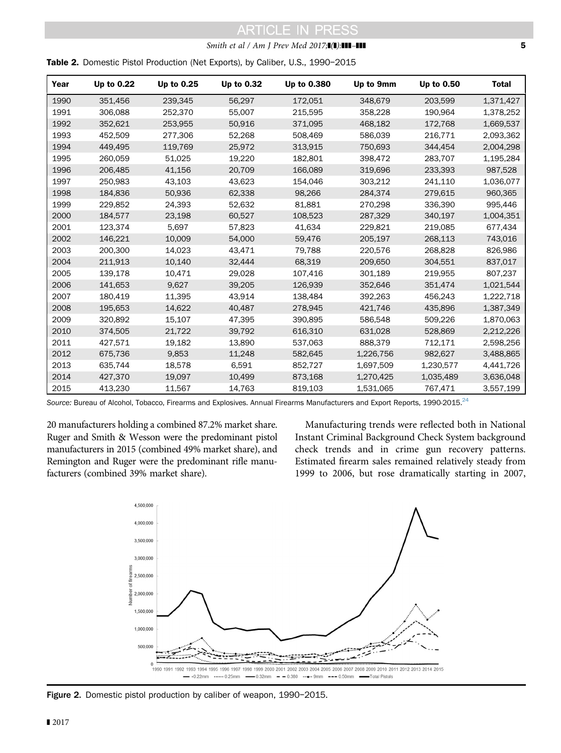### Smith et al / Am J Prev Med  $2017$ ; $\blacksquare$  $\blacksquare$ ]  $\blacksquare$

<span id="page-4-0"></span>Table 2. Domestic Pistol Production (Net Exports), by Caliber, U.S., 1990–<sup>2015</sup>

| Year | Up to 0.22 | Up to 0.25 | Up to 0.32 | Up to 0.380 | Up to 9mm | Up to 0.50 | <b>Total</b> |
|------|------------|------------|------------|-------------|-----------|------------|--------------|
| 1990 | 351,456    | 239,345    | 56,297     | 172,051     | 348,679   | 203,599    | 1,371,427    |
| 1991 | 306,088    | 252,370    | 55,007     | 215,595     | 358,228   | 190,964    | 1,378,252    |
| 1992 | 352,621    | 253,955    | 50,916     | 371,095     | 468,182   | 172,768    | 1,669,537    |
| 1993 | 452,509    | 277,306    | 52,268     | 508,469     | 586,039   | 216,771    | 2,093,362    |
| 1994 | 449,495    | 119,769    | 25,972     | 313,915     | 750,693   | 344.454    | 2,004,298    |
| 1995 | 260.059    | 51,025     | 19,220     | 182.801     | 398,472   | 283,707    | 1,195,284    |
| 1996 | 206,485    | 41,156     | 20,709     | 166,089     | 319,696   | 233,393    | 987,528      |
| 1997 | 250,983    | 43,103     | 43,623     | 154,046     | 303,212   | 241,110    | 1,036,077    |
| 1998 | 184.836    | 50,936     | 62,338     | 98,266      | 284,374   | 279,615    | 960,365      |
| 1999 | 229,852    | 24,393     | 52,632     | 81,881      | 270,298   | 336,390    | 995,446      |
| 2000 | 184,577    | 23,198     | 60,527     | 108,523     | 287,329   | 340,197    | 1,004,351    |
| 2001 | 123.374    | 5.697      | 57,823     | 41.634      | 229,821   | 219,085    | 677,434      |
| 2002 | 146,221    | 10,009     | 54,000     | 59,476      | 205,197   | 268,113    | 743,016      |
| 2003 | 200,300    | 14,023     | 43,471     | 79,788      | 220,576   | 268,828    | 826,986      |
| 2004 | 211,913    | 10,140     | 32,444     | 68,319      | 209,650   | 304,551    | 837,017      |
| 2005 | 139,178    | 10,471     | 29,028     | 107,416     | 301,189   | 219,955    | 807,237      |
| 2006 | 141,653    | 9,627      | 39,205     | 126,939     | 352,646   | 351,474    | 1,021,544    |
| 2007 | 180,419    | 11,395     | 43.914     | 138,484     | 392,263   | 456,243    | 1,222,718    |
| 2008 | 195,653    | 14,622     | 40,487     | 278,945     | 421,746   | 435,896    | 1,387,349    |
| 2009 | 320,892    | 15,107     | 47,395     | 390,895     | 586,548   | 509,226    | 1,870,063    |
| 2010 | 374,505    | 21,722     | 39,792     | 616,310     | 631,028   | 528,869    | 2,212,226    |
| 2011 | 427,571    | 19,182     | 13,890     | 537,063     | 888,379   | 712,171    | 2,598,256    |
| 2012 | 675,736    | 9,853      | 11,248     | 582,645     | 1,226,756 | 982,627    | 3,488,865    |
| 2013 | 635,744    | 18,578     | 6,591      | 852,727     | 1,697,509 | 1,230,577  | 4,441,726    |
| 2014 | 427,370    | 19,097     | 10,499     | 873,168     | 1,270,425 | 1,035,489  | 3,636,048    |
| 2015 | 413,230    | 11,567     | 14,763     | 819,103     | 1,531,065 | 767,471    | 3,557,199    |

Source: Bureau of Alcohol, Tobacco, Firearms and Explosives. Annual Firearms Manufacturers and Export Reports, 1990-2015.<sup>[24](#page-6-0)</sup>

20 manufacturers holding a combined 87.2% market share. Ruger and Smith & Wesson were the predominant pistol manufacturers in 2015 (combined 49% market share), and Remington and Ruger were the predominant rifle manufacturers (combined 39% market share).

Manufacturing trends were reflected both in National Instant Criminal Background Check System background check trends and in crime gun recovery patterns. Estimated firearm sales remained relatively steady from 1999 to 2006, but rose dramatically starting in 2007,



Figure 2. Domestic pistol production by caliber of weapon, 1990-2015.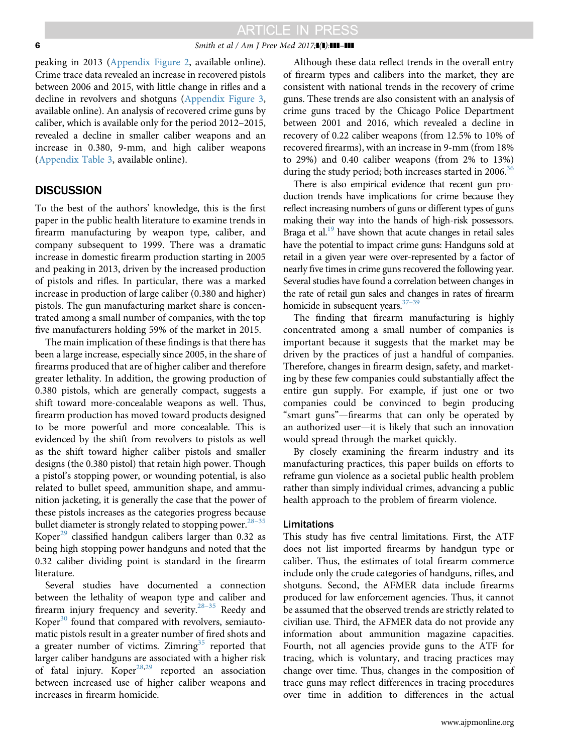#### **6** Smith et al / Am J Prev Med 2017;**1(1):111-111**

peaking in 2013 [\(Appendix Figure 2](#page-6-0), available online). Crime trace data revealed an increase in recovered pistols between 2006 and 2015, with little change in rifles and a decline in revolvers and shotguns [\(Appendix Figure 3,](#page-6-0) available online). An analysis of recovered crime guns by caliber, which is available only for the period 2012–2015, revealed a decline in smaller caliber weapons and an increase in 0.380, 9-mm, and high caliber weapons ([Appendix Table 3](#page-6-0), available online).

### DISCUSSION

To the best of the authors' knowledge, this is the first paper in the public health literature to examine trends in firearm manufacturing by weapon type, caliber, and company subsequent to 1999. There was a dramatic increase in domestic firearm production starting in 2005 and peaking in 2013, driven by the increased production of pistols and rifles. In particular, there was a marked increase in production of large caliber (0.380 and higher) pistols. The gun manufacturing market share is concentrated among a small number of companies, with the top five manufacturers holding 59% of the market in 2015.

The main implication of these findings is that there has been a large increase, especially since 2005, in the share of firearms produced that are of higher caliber and therefore greater lethality. In addition, the growing production of 0.380 pistols, which are generally compact, suggests a shift toward more-concealable weapons as well. Thus, firearm production has moved toward products designed to be more powerful and more concealable. This is evidenced by the shift from revolvers to pistols as well as the shift toward higher caliber pistols and smaller designs (the 0.380 pistol) that retain high power. Though a pistol's stopping power, or wounding potential, is also related to bullet speed, ammunition shape, and ammunition jacketing, it is generally the case that the power of these pistols increases as the categories progress because bullet diameter is strongly related to stopping power.<sup>[28](#page-7-0)[–](#page-7-0)[35](#page-7-0)</sup> Koper<sup>[29](#page-7-0)</sup> classified handgun calibers larger than  $0.32$  as being high stopping power handguns and noted that the 0.32 caliber dividing point is standard in the firearm literature.

Several studies have documented a connection between the lethality of weapon type and caliber and firearm injury frequency and severity. $28-35$  $28-35$  $28-35$  Reedy and Koper $30$  found that compared with revolvers, semiautomatic pistols result in a greater number of fired shots and a greater number of victims. Zimring $35$  reported that larger caliber handguns are associated with a higher risk of fatal injury. Koper<sup>[28,29](#page-7-0)</sup> reported an association between increased use of higher caliber weapons and increases in firearm homicide.

Although these data reflect trends in the overall entry of firearm types and calibers into the market, they are consistent with national trends in the recovery of crime guns. These trends are also consistent with an analysis of crime guns traced by the Chicago Police Department between 2001 and 2016, which revealed a decline in recovery of 0.22 caliber weapons (from 12.5% to 10% of recovered firearms), with an increase in 9-mm (from 18% to 29%) and 0.40 caliber weapons (from 2% to 13%) during the study period; both increases started in 2006.<sup>36</sup>

There is also empirical evidence that recent gun production trends have implications for crime because they reflect increasing numbers of guns or different types of guns making their way into the hands of high-risk possessors. Braga et al.<sup>19</sup> have shown that acute changes in retail sales have the potential to impact crime guns: Handguns sold at retail in a given year were over-represented by a factor of nearly five times in crime guns recovered the following year. Several studies have found a correlation between changes in the rate of retail gun sales and changes in rates of firearm homicide in subsequent years. $37-39$  $37-39$ 

The finding that firearm manufacturing is highly concentrated among a small number of companies is important because it suggests that the market may be driven by the practices of just a handful of companies. Therefore, changes in firearm design, safety, and marketing by these few companies could substantially affect the entire gun supply. For example, if just one or two companies could be convinced to begin producing "smart guns"—firearms that can only be operated by an authorized user—it is likely that such an innovation would spread through the market quickly.

By closely examining the firearm industry and its manufacturing practices, this paper builds on efforts to reframe gun violence as a societal public health problem rather than simply individual crimes, advancing a public health approach to the problem of firearm violence.

### Limitations

This study has five central limitations. First, the ATF does not list imported firearms by handgun type or caliber. Thus, the estimates of total firearm commerce include only the crude categories of handguns, rifles, and shotguns. Second, the AFMER data include firearms produced for law enforcement agencies. Thus, it cannot be assumed that the observed trends are strictly related to civilian use. Third, the AFMER data do not provide any information about ammunition magazine capacities. Fourth, not all agencies provide guns to the ATF for tracing, which is voluntary, and tracing practices may change over time. Thus, changes in the composition of trace guns may reflect differences in tracing procedures over time in addition to differences in the actual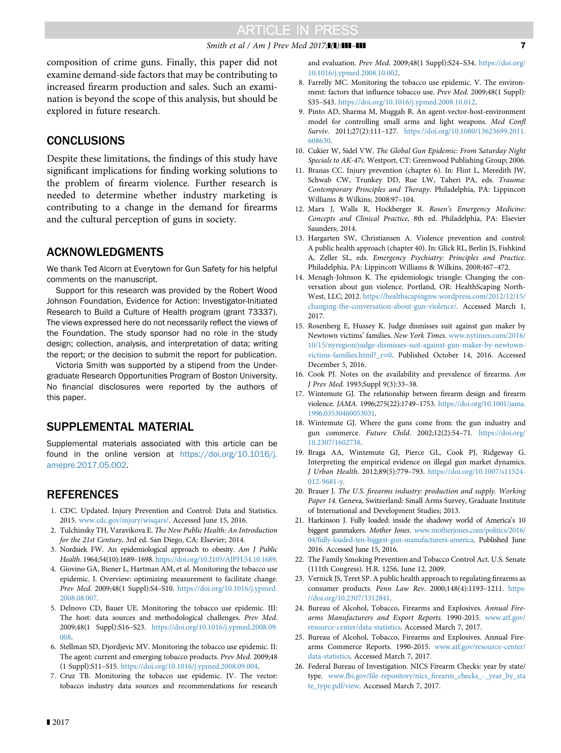### Smith et al / Am J Prev Med 2017; $\blacksquare$ ] **111 111 7 7**

<span id="page-6-0"></span>composition of crime guns. Finally, this paper did not examine demand-side factors that may be contributing to increased firearm production and sales. Such an examination is beyond the scope of this analysis, but should be explored in future research.

## **CONCLUSIONS**

Despite these limitations, the findings of this study have significant implications for finding working solutions to the problem of firearm violence. Further research is needed to determine whether industry marketing is contributing to a change in the demand for firearms and the cultural perception of guns in society.

## ACKNOWLEDGMENTS

We thank Ted Alcorn at Everytown for Gun Safety for his helpful comments on the manuscript.

Support for this research was provided by the Robert Wood Johnson Foundation, Evidence for Action: Investigator-Initiated Research to Build a Culture of Health program (grant 73337). The views expressed here do not necessarily reflect the views of the Foundation. The study sponsor had no role in the study design; collection, analysis, and interpretation of data; writing the report; or the decision to submit the report for publication.

Victoria Smith was supported by a stipend from the Undergraduate Research Opportunities Program of Boston University. No financial disclosures were reported by the authors of this paper.

## SUPPLEMENTAL MATERIAL

Supplemental materials associated with this article can be found in the online version at [https://doi.org/10.1016/j.](https://doi.org/10.1016/j.amepre.2017.05.002) [amepre.2017.05.002.](https://doi.org/10.1016/j.amepre.2017.05.002)

## **REFERENCES**

- 1. CDC. Updated. Injury Prevention and Control: Data and Statistics. 2015. [www.cdc.gov/injury/wisqars/](http://www.cdc.gov/injury/wisqars/). Accessed June 15, 2016.
- 2. Tulchinsky TH, Varavikova E. The New Public Health: An Introduction for the 21st Century, 3rd ed. San Diego, CA: Elsevier; 2014.
- 3. Nordsiek FW. An epidemiological approach to obesity. Am J Public Health. 1964;54(10):1689–1698. <https://doi.org/10.2105/AJPH.54.10.1689>.
- 4. Giovino GA, Biener L, Hartman AM, et al. Monitoring the tobacco use epidemic. I. Overview: optimizing measurement to facilitate change. Prev Med. 2009;48(1 Suppl):S4–S10. [https://doi.org/10.1016/j.ypmed.](https://doi.org/10.1016/j.ypmed.2008.08.007) [2008.08.007](https://doi.org/10.1016/j.ypmed.2008.08.007).
- 5. Delnovo CD, Bauer UE. Monitoring the tobacco use epidemic. III: The host: data sources and methodological challenges. Prev Med. 2009;48(1 Suppl):S16–S23. [https://doi.org/10.1016/j.ypmed.2008.09.](https://doi.org/10.1016/j.ypmed.2008.09.008) [008](https://doi.org/10.1016/j.ypmed.2008.09.008).
- 6. Stellman SD, Djordjevic MV. Monitoring the tobacco use epidemic. II: The agent: current and emerging tobacco products. Prev Med. 2009;48 (1 Suppl):S11–S15. [https://doi.org/10.1016/j.ypmed.2008.09.004.](https://doi.org/10.1016/j.ypmed.2008.09.004)
- 7. Cruz TB. Monitoring the tobacco use epidemic. IV. The vector: tobacco industry data sources and recommendations for research

and evaluation. Prev Med. 2009;48(1 Suppl):S24–S34. [https://doi.org/](https://doi.org/10.1016/j.ypmed.2008.10.002) [10.1016/j.ypmed.2008.10.002.](https://doi.org/10.1016/j.ypmed.2008.10.002)

- 8. Farrelly MC. Monitoring the tobacco use epidemic. V. The environment: factors that influence tobacco use. Prev Med. 2009;48(1 Suppl): S35–S43. <https://doi.org/10.1016/j.ypmed.2008.10.012>.
- 9. Pinto AD, Sharma M, Muggah R. An agent-vector-host-environment model for controlling small arms and light weapons. Med Confl Surviv. 2011;27(2):111–127. [https://doi.org/10.1080/13623699.2011.](https://doi.org/10.1080/13623699.2011.608630) [608630](https://doi.org/10.1080/13623699.2011.608630).
- 10. Cukier W, Sidel VW. The Global Gun Epidemic: From Saturday Night Specials to AK-47s. Westport, CT: Greenwood Publishing Group; 2006.
- 11. Branas CC. Injury prevention (chapter 6). In: Flint L, Meredith JW, Schwab CW, Trunkey DD, Rue LW, Taheri PA, eds. Trauma: Contemporary Principles and Therapy. Philadelphia, PA: Lippincott Williams & Wilkins; 2008:97–104.
- 12. Marx J, Walls R, Hockberger R. Rosen's Emergency Medicine: Concepts and Clinical Practice, 8th ed. Philadelphia, PA: Elsevier Saunders; 2014.
- 13. Hargarten SW, Christiansen A. Violence prevention and control: A public health approach (chapter 40). In: Glick RL, Berlin JS, Fishkind A, Zeller SL, eds. Emergency Psychiatry: Principles and Practice. Philadelphia, PA: Lippincott Williams & Wilkins, 2008:467–472.
- 14. Menagh-Johnson K. The epidemiologic triangle: Changing the conversation about gun violence. Portland, OR: HealthScaping North-West, LLC; 2012. [https://healthscapingnw.wordpress.com/2012/12/15/](https://healthscapingnw.wordpress.com/2012/12/15/changing-the-conversation-about-gun-violence/) [changing-the-conversation-about-gun-violence/.](https://healthscapingnw.wordpress.com/2012/12/15/changing-the-conversation-about-gun-violence/) Accessed March 1, 2017.
- 15. Rosenberg E, Hussey K. Judge dismisses suit against gun maker by Newtown victims' families. New York Times. [www.nytimes.com/2016/](http://www.nytimes.com/2016/10/15/nyregion/judge-dismisses-suit-against-gun-maker-by-newtown-victims-families.html?_r=0) [10/15/nyregion/judge-dismisses-suit-against-gun-maker-by-newtown](http://www.nytimes.com/2016/10/15/nyregion/judge-dismisses-suit-against-gun-maker-by-newtown-victims-families.html?_r=0)[victims-families.html?\\_r](http://www.nytimes.com/2016/10/15/nyregion/judge-dismisses-suit-against-gun-maker-by-newtown-victims-families.html?_r=0)=0. Published October 14, 2016. Accessed December 5, 2016.
- 16. Cook PJ. Notes on the availability and prevalence of firearms. Am J Prev Med. 1993;Suppl 9(3):33–38.
- 17. Wintemute GJ. The relationship between firearm design and firearm violence. JAMA. 1996;275(22):1749–1753. [https://doi.org/10.1001/jama.](https://doi.org/10.1001/jama.1996.03530460053031) [1996.03530460053031](https://doi.org/10.1001/jama.1996.03530460053031).
- 18. Wintemute GJ. Where the guns come from: the gun industry and gun commerce. Future Child. 2002;12(2):54–71. [https://doi.org/](https://doi.org/10.2307/1602738) [10.2307/1602738](https://doi.org/10.2307/1602738).
- 19. Braga AA, Wintemute GJ, Pierce GL, Cook PJ, Ridgeway G. Interpreting the empirical evidence on illegal gun market dynamics. J Urban Health. 2012;89(5):779–793. [https://doi.org/10.1007/s11524-](https://doi.org/10.1007/s11524-012-9681-y) [012-9681-y](https://doi.org/10.1007/s11524-012-9681-y).
- 20. Brauer J. The U.S. firearms industry: production and supply. Working Paper 14. Geneva, Switzerland: Small Arms Survey, Graduate Institute of International and Development Studies; 2013.
- 21. Harkinson J. Fully loaded: inside the shadowy world of America's 10 biggest gunmakers. Mother Jones. [www.motherjones.com/politics/2016/](http://www.motherjones.com/politics/2016/04/fully-loaded-ten-biggest-gun-manufacturers-america) [04/fully-loaded-ten-biggest-gun-manufacturers-america](http://www.motherjones.com/politics/2016/04/fully-loaded-ten-biggest-gun-manufacturers-america). Published June 2016. Accessed June 15, 2016.
- 22. The Family Smoking Prevention and Tobacco Control Act. U.S. Senate (111th Congress). H.R. 1256, June 12, 2009.
- 23. Vernick JS, Teret SP. A public health approach to regulating firearms as consumer products. Penn Law Rev. 2000;148(4):1193-1211. [https:](https://doi.org/10.2307/3312841) [//doi.org/10.2307/3312841.](https://doi.org/10.2307/3312841)
- 24. Bureau of Alcohol, Tobacco, Firearms and Explosives. Annual Firearms Manufacturers and Export Reports. 1990-2015. [www.atf.gov/](http://www.atf.gov/resource-center/data-statistics) [resource-center/data-statistics](http://www.atf.gov/resource-center/data-statistics). Accessed March 7, 2017.
- 25. Bureau of Alcohol, Tobacco, Firearms and Explosives. Annual Firearms Commerce Reports. 1990-2015. [www.atf.gov/resource-center/](http://www.atf.gov/resource-center/data-statistics) [data-statistics.](http://www.atf.gov/resource-center/data-statistics) Accessed March 7, 2017.
- 26. Federal Bureau of Investigation. NICS Firearm Checks: year by state/ type. www.fbi.gov/file-repository/nics\_fi[rearm\\_checks\\_-\\_year\\_by\\_sta](http://www.fbi.gov/file-repository/nics_firearm_checks_-_year_by_state_type.pdf/view) [te\\_type.pdf/view](http://www.fbi.gov/file-repository/nics_firearm_checks_-_year_by_state_type.pdf/view). Accessed March 7, 2017.